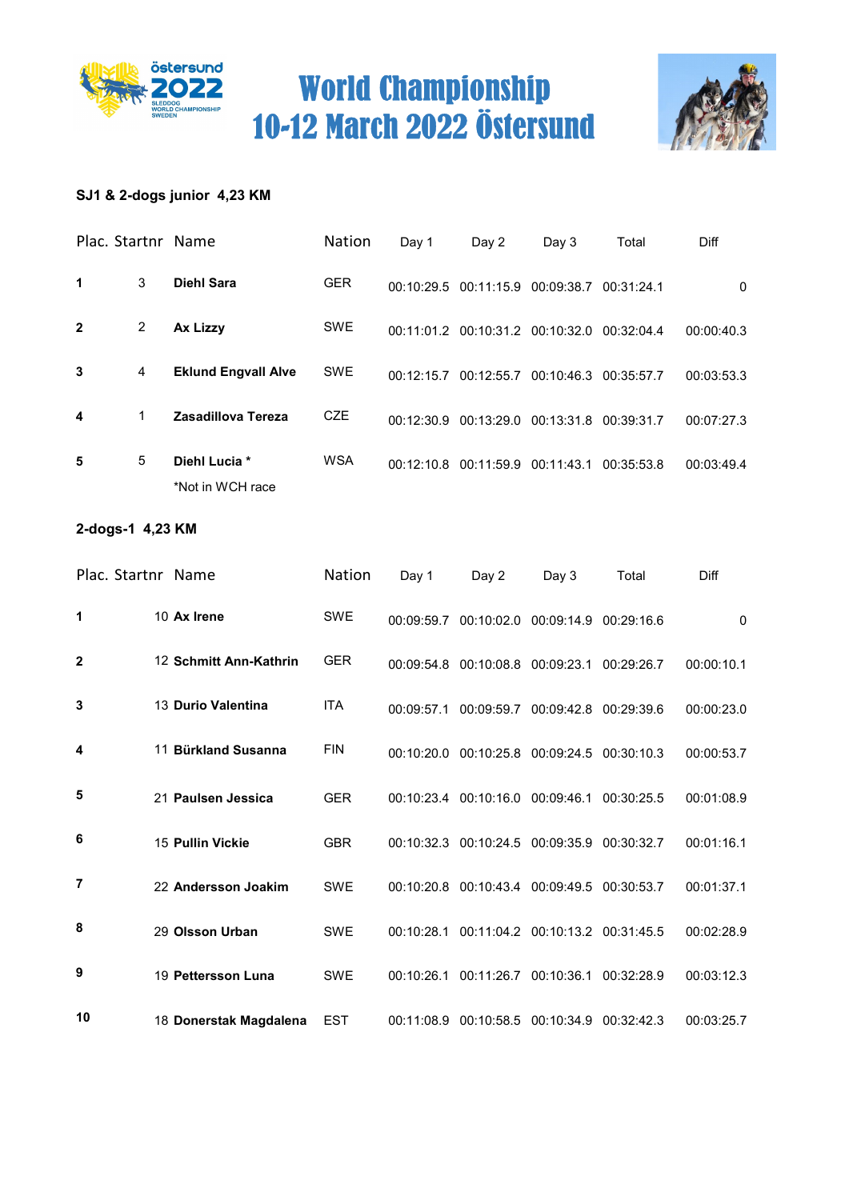



### SJ1 & 2-dogs junior 4,23 KM

|                | Plac. Startnr Name |                                   | Nation     | Day 1      | Day 2                                       | Day 3                 | Total      | Diff       |
|----------------|--------------------|-----------------------------------|------------|------------|---------------------------------------------|-----------------------|------------|------------|
| 1              | 3                  | <b>Diehl Sara</b>                 | <b>GER</b> |            | 00:10:29.5 00:11:15.9 00:09:38.7 00:31:24.1 |                       |            | 0          |
| $\overline{2}$ | $\overline{2}$     | Ax Lizzy                          | <b>SWE</b> |            | 00:11:01.2 00:10:31.2 00:10:32.0            |                       | 00:32:04.4 | 00:00:40.3 |
| 3              | 4                  | <b>Eklund Engvall Alve</b>        | <b>SWE</b> | 00:12:15.7 | 00:12:55.7                                  | 00:10:46.3 00:35:57.7 |            | 00:03:53.3 |
| 4              | $\mathbf 1$        | Zasadillova Tereza                | <b>CZE</b> | 00:12:30.9 | 00:13:29.0 00:13:31.8 00:39:31.7            |                       |            | 00:07:27.3 |
| 5              | 5                  | Diehl Lucia *<br>*Not in WCH race | <b>WSA</b> |            | 00:12:10.8 00:11:59.9 00:11:43.1            |                       | 00:35:53.8 | 00:03:49.4 |

### 2-dogs-1 4,23 KM

| Plac. Startnr Name |                        | Nation     | Day 1      | Day 2                                       | Day 3                            | Total      | Diff         |
|--------------------|------------------------|------------|------------|---------------------------------------------|----------------------------------|------------|--------------|
| 1                  | 10 Ax Irene            | <b>SWE</b> |            | 00:09:59.7 00:10:02.0 00:09:14.9 00:29:16.6 |                                  |            | $\mathbf{0}$ |
| $\mathbf{2}$       | 12 Schmitt Ann-Kathrin | <b>GER</b> |            | 00:09:54.8 00:10:08.8 00:09:23.1            |                                  | 00:29:26.7 | 00:00:10.1   |
| 3                  | 13 Durio Valentina     | <b>ITA</b> | 00:09:57.1 |                                             | 00:09:59.7 00:09:42.8 00:29:39.6 |            | 00:00:23.0   |
| 4                  | 11 Bürkland Susanna    | <b>FIN</b> |            | 00:10:20.0 00:10:25.8 00:09:24.5 00:30:10.3 |                                  |            | 00:00:53.7   |
| 5                  | 21 Paulsen Jessica     | <b>GER</b> |            | 00:10:23.4 00:10:16.0 00:09:46.1            |                                  | 00:30:25.5 | 00:01:08.9   |
| 6                  | 15 Pullin Vickie       | <b>GBR</b> |            | 00:10:32.3 00:10:24.5 00:09:35.9 00:30:32.7 |                                  |            | 00:01:16.1   |
| $\overline{7}$     | 22 Andersson Joakim    | <b>SWE</b> |            | 00:10:20.8 00:10:43.4 00:09:49.5 00:30:53.7 |                                  |            | 00:01:37.1   |
| 8                  | 29 Olsson Urban        | <b>SWE</b> | 00:10:28.1 |                                             | 00:11:04.2 00:10:13.2 00:31:45.5 |            | 00:02:28.9   |
| 9                  | 19 Pettersson Luna     | <b>SWE</b> | 00:10:26.1 |                                             | 00:11:26.7 00:10:36.1 00:32:28.9 |            | 00:03:12.3   |
| 10                 | 18 Donerstak Magdalena | <b>EST</b> | 00:11:08.9 |                                             | 00:10:58.5 00:10:34.9            | 00:32:42.3 | 00:03:25.7   |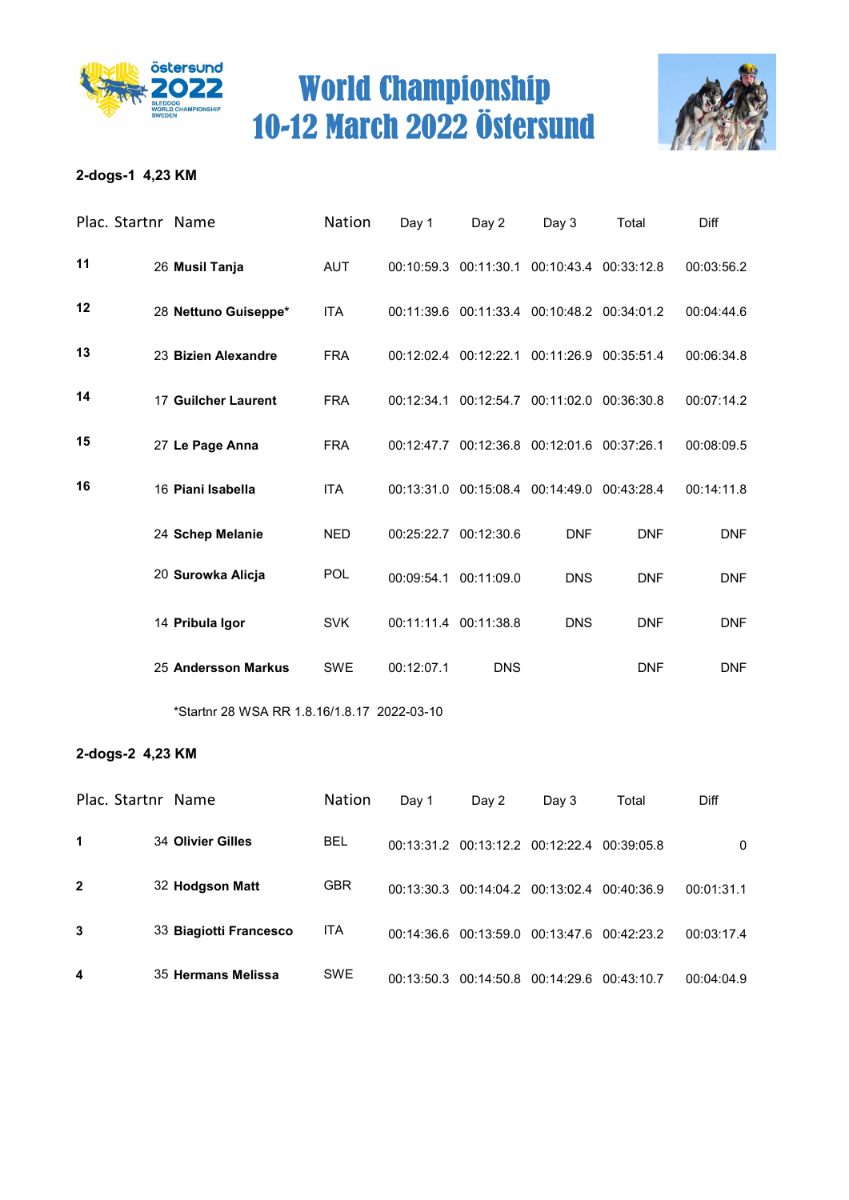



### 2-dogs-1 4,23 KM

|    | Plac. Startnr Name   | Nation     | Day 1      | Day 2                 | Day 3                                       | Total                 | Diff       |
|----|----------------------|------------|------------|-----------------------|---------------------------------------------|-----------------------|------------|
| 11 | 26 Musil Tanja       | <b>AUT</b> |            | 00:10:59.3 00:11:30.1 |                                             | 00:10:43.4 00:33:12.8 | 00:03:56.2 |
| 12 | 28 Nettuno Guiseppe* | <b>ITA</b> |            |                       | 00:11:39.6 00:11:33.4 00:10:48.2 00:34:01.2 |                       | 00:04:44.6 |
| 13 | 23 Bizien Alexandre  | <b>FRA</b> |            | 00:12:02.4 00:12:22.1 | 00:11:26.9                                  | 00:35:51.4            | 00:06:34.8 |
| 14 | 17 Guilcher Laurent  | <b>FRA</b> | 00:12:34.1 | 00:12:54.7            | 00:11:02.0                                  | 00:36:30.8            | 00:07:14.2 |
| 15 | 27 Le Page Anna      | <b>FRA</b> | 00:12:47.7 |                       | 00:12:36.8 00:12:01.6 00:37:26.1            |                       | 00:08:09.5 |
| 16 | 16 Piani Isabella    | <b>ITA</b> | 00:13:31.0 |                       | 00:15:08.4 00:14:49.0                       | 00:43:28.4            | 00:14:11.8 |
|    | 24 Schep Melanie     | <b>NED</b> | 00:25:22.7 | 00:12:30.6            | <b>DNF</b>                                  | <b>DNF</b>            | <b>DNF</b> |
|    | 20 Surowka Alicja    | <b>POL</b> | 00:09:54.1 | 00:11:09.0            | <b>DNS</b>                                  | <b>DNF</b>            | <b>DNF</b> |
|    | 14 Pribula Igor      | <b>SVK</b> |            | 00:11:11.4 00:11:38.8 | <b>DNS</b>                                  | <b>DNF</b>            | <b>DNF</b> |
|    | 25 Andersson Markus  | <b>SWE</b> | 00:12:07.1 | <b>DNS</b>            |                                             | <b>DNF</b>            | <b>DNF</b> |

\*Startnr 28 WSA RR 1.8.16/1.8.17 2022-03-10

#### 2-dogs-2 4,23 KM

| Plac. Startnr Name |                        | <b>Nation</b> | Day 1      | Day 2 | Day 3                                       | Total      | Diff       |
|--------------------|------------------------|---------------|------------|-------|---------------------------------------------|------------|------------|
| 1                  | 34 Olivier Gilles      | <b>BEL</b>    |            |       | 00:13:31.2 00:13:12.2 00:12:22.4 00:39:05.8 |            | 0          |
| $\mathbf{2}$       | 32 Hodgson Matt        | <b>GBR</b>    |            |       | 00:13:30.3 00:14:04.2 00:13:02.4 00:40:36.9 |            | 00:01:31.1 |
| 3                  | 33 Biagiotti Francesco | <b>ITA</b>    |            |       | 00:14:36.6 00:13:59.0 00:13:47.6 00:42:23.2 |            | 00:03:17.4 |
| 4                  | 35 Hermans Melissa     | <b>SWE</b>    | 00:13:50.3 |       | $00:14:50.8$ $00:14:29.6$                   | 00:43:10.7 | 00:04:04.9 |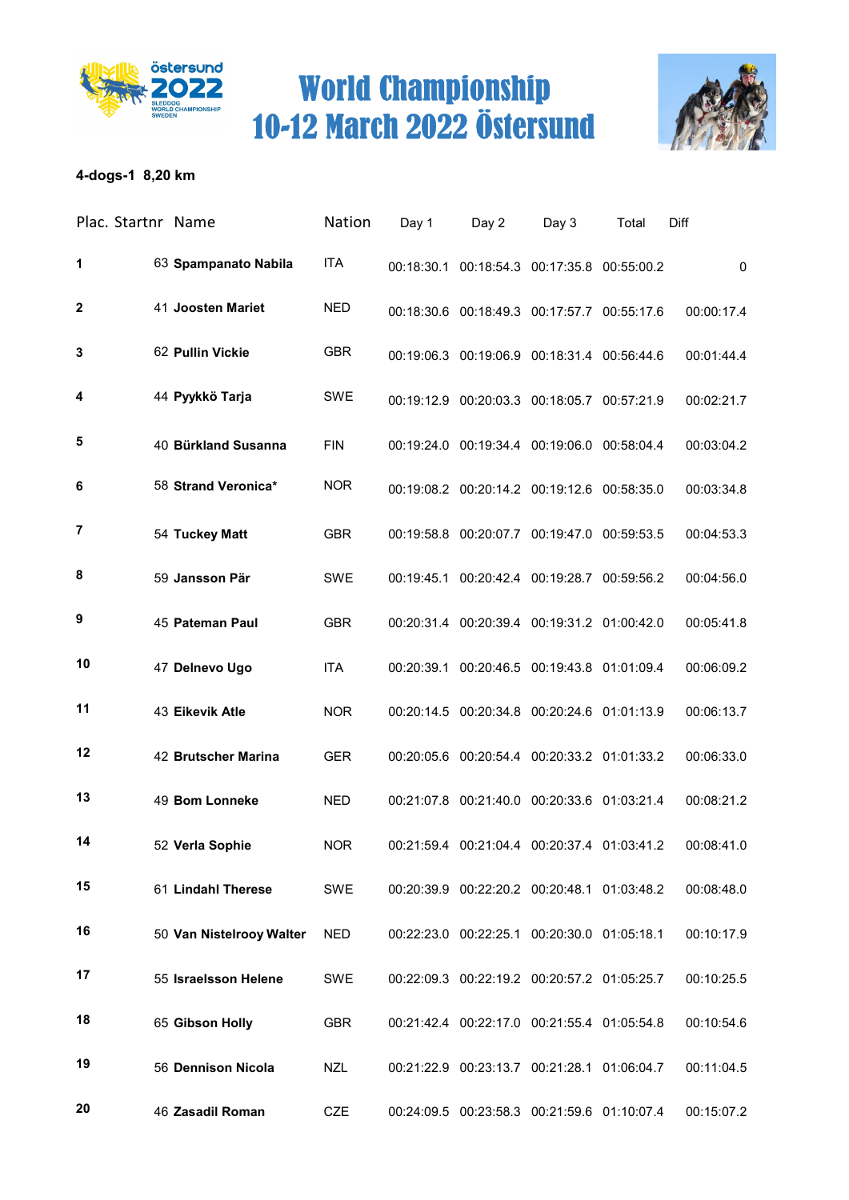



### 4-dogs-1 8,20 km

| Plac. Startnr Name |                          | Nation     | Day 1 | Day 2                                          | Day 3 | Total | Diff        |
|--------------------|--------------------------|------------|-------|------------------------------------------------|-------|-------|-------------|
| 1                  | 63 Spampanato Nabila     | <b>ITA</b> |       | 00:18:30.1 00:18:54.3 00:17:35.8 00:55:00.2    |       |       | $\mathbf 0$ |
| $\boldsymbol{2}$   | 41 Joosten Mariet        | <b>NED</b> |       | 00:18:30.6 00:18:49.3 00:17:57.7 00:55:17.6    |       |       | 00:00:17.4  |
| 3                  | 62 Pullin Vickie         | <b>GBR</b> |       | 00:19:06.3 00:19:06.9 00:18:31.4 00:56:44.6    |       |       | 00:01:44.4  |
| 4                  | 44 Pyykkö Tarja          | SWE        |       | 00:19:12.9 00:20:03.3 00:18:05.7 00:57:21.9    |       |       | 00:02:21.7  |
| 5                  | 40 Bürkland Susanna      | <b>FIN</b> |       | 00:19:24.0 00:19:34.4 00:19:06.0 00:58:04.4    |       |       | 00:03:04.2  |
| 6                  | 58 Strand Veronica*      | <b>NOR</b> |       | 00:19:08.2 00:20:14.2 00:19:12.6 00:58:35.0    |       |       | 00:03:34.8  |
| 7                  | 54 Tuckey Matt           | <b>GBR</b> |       | 00:19:58.8 00:20:07.7 00:19:47.0 00:59:53.5    |       |       | 00:04:53.3  |
| 8                  | 59 Jansson Pär           | <b>SWE</b> |       | 00:19:45.1 00:20:42.4 00:19:28.7 00:59:56.2    |       |       | 00:04:56.0  |
| 9                  | 45 Pateman Paul          | <b>GBR</b> |       | 00:20:31.4 00:20:39.4 00:19:31.2 01:00:42.0    |       |       | 00:05:41.8  |
| 10                 | 47 Delnevo Ugo           | <b>ITA</b> |       | 00:20:39.1  00:20:46.5  00:19:43.8  01:01:09.4 |       |       | 00:06:09.2  |
| 11                 | 43 Eikevik Atle          | <b>NOR</b> |       | 00:20:14.5 00:20:34.8 00:20:24.6 01:01:13.9    |       |       | 00:06:13.7  |
| 12                 | 42 Brutscher Marina      | <b>GER</b> |       | 00:20:05.6 00:20:54.4 00:20:33.2 01:01:33.2    |       |       | 00:06:33.0  |
| 13                 | 49 Bom Lonneke           | <b>NED</b> |       | 00:21:07.8 00:21:40.0 00:20:33.6 01:03:21.4    |       |       | 00:08:21.2  |
| 14                 | 52 Verla Sophie          | <b>NOR</b> |       | 00:21:59.4  00:21:04.4  00:20:37.4  01:03:41.2 |       |       | 00:08:41.0  |
| 15                 | 61 Lindahl Therese       | SWE        |       | 00:20:39.9 00:22:20.2 00:20:48.1 01:03:48.2    |       |       | 00:08:48.0  |
| 16                 | 50 Van Nistelrooy Walter | <b>NED</b> |       | 00:22:23.0 00:22:25.1 00:20:30.0 01:05:18.1    |       |       | 00:10:17.9  |
| 17                 | 55 Israelsson Helene     | SWE        |       | 00:22:09.3 00:22:19.2 00:20:57.2 01:05:25.7    |       |       | 00:10:25.5  |
| 18                 | 65 Gibson Holly          | <b>GBR</b> |       | 00:21:42.4 00:22:17.0 00:21:55.4 01:05:54.8    |       |       | 00:10:54.6  |
| 19                 | 56 Dennison Nicola       | <b>NZL</b> |       | 00:21:22.9 00:23:13.7 00:21:28.1 01:06:04.7    |       |       | 00:11:04.5  |
| 20                 | 46 Zasadil Roman         | <b>CZE</b> |       | 00:24:09.5 00:23:58.3 00:21:59.6 01:10:07.4    |       |       | 00:15:07.2  |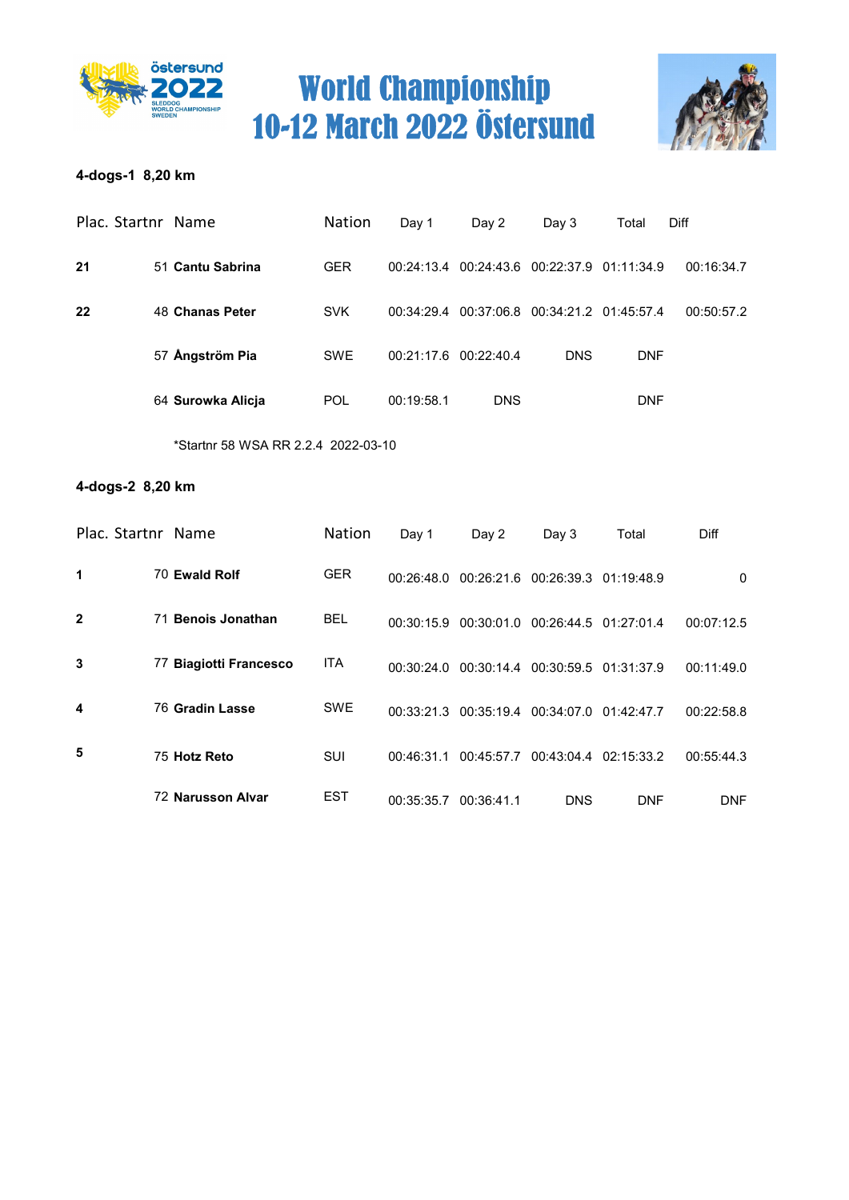



### 4-dogs-1 8,20 km

|    | Plac. Startnr Name | <b>Nation</b> | Day 1      | Day 2                                       | Day 3      | Total      | <b>Diff</b> |
|----|--------------------|---------------|------------|---------------------------------------------|------------|------------|-------------|
| 21 | 51 Cantu Sabrina   | <b>GER</b>    |            | 00:24:13.4 00:24:43.6 00:22:37.9 01:11:34.9 |            |            | 00:16:34.7  |
| 22 | 48 Chanas Peter    | <b>SVK</b>    |            | 00:34:29.4 00:37:06.8 00:34:21.2 01:45:57.4 |            |            | 00:50:57.2  |
|    | 57 Ångström Pia    | <b>SWE</b>    |            | 00:21:17.6 00:22:40.4                       | <b>DNS</b> | <b>DNF</b> |             |
|    | 64 Surowka Alicja  | <b>POL</b>    | 00:19:58.1 | <b>DNS</b>                                  |            | <b>DNF</b> |             |
|    |                    |               |            |                                             |            |            |             |

\*Startnr 58 WSA RR 2.2.4 2022-03-10

### 4-dogs-2 8,20 km

| Plac. Startnr Name |                              | <b>Nation</b> | Day 1      | Day 2      | Day 3                            | Total      | Diff       |
|--------------------|------------------------------|---------------|------------|------------|----------------------------------|------------|------------|
| 1                  | 70 Ewald Rolf                | <b>GER</b>    | 00:26:48.0 |            | 00:26:21.6 00:26:39.3 01:19:48.9 |            | 0          |
| $\mathbf{2}$       | <b>Benois Jonathan</b><br>71 | <b>BEL</b>    | 00:30:15.9 |            | 00:30:01.0 00:26:44.5            | 01:27:01.4 | 00:07:12.5 |
| 3                  | 77 Biagiotti Francesco       | <b>ITA</b>    | 00:30:24.0 | 00:30:14.4 | 00:30:59.5                       | 01:31:37.9 | 00:11:49.0 |
| 4                  | 76 Gradin Lasse              | <b>SWE</b>    | 00:33:21.3 | 00:35:19.4 | 00:34:07.0 01:42:47.7            |            | 00:22:58.8 |
| 5                  | 75 Hotz Reto                 | <b>SUI</b>    | 00:46:31.1 | 00:45:57.7 | 00:43:04.4 02:15:33.2            |            | 00:55:44.3 |
|                    | 72 Narusson Alvar            | <b>EST</b>    | 00:35:35.7 | 00:36:41.1 | <b>DNS</b>                       | <b>DNF</b> | <b>DNF</b> |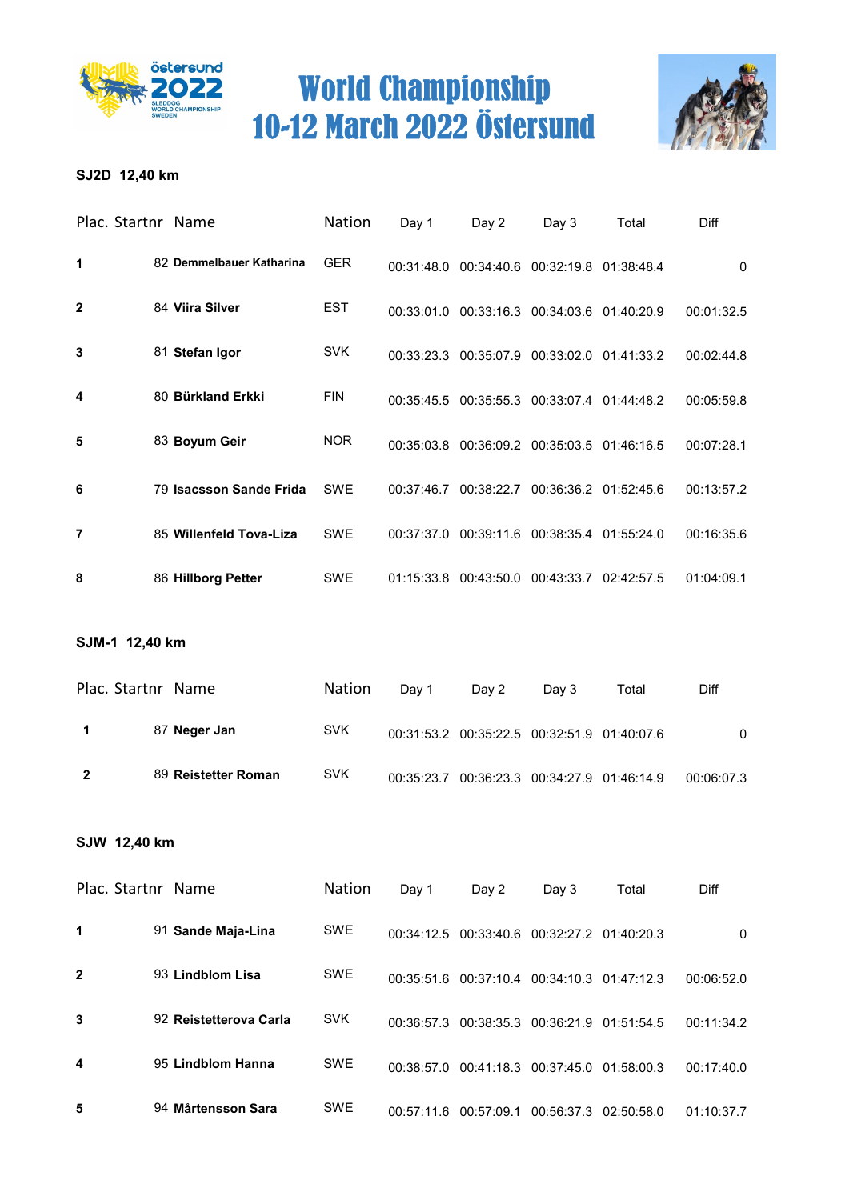



### SJ2D 12,40 km

| Plac. Startnr Name |                          | Nation     | Day 1      | Day 2                                       | Day $3$                          | Total | Diff       |
|--------------------|--------------------------|------------|------------|---------------------------------------------|----------------------------------|-------|------------|
| 1                  | 82 Demmelbauer Katharina | <b>GER</b> | 00:31:48.0 |                                             | 00:34:40.6 00:32:19.8 01:38:48.4 |       | $\Omega$   |
| $\mathbf{2}$       | 84 Viira Silver          | <b>EST</b> | 00:33:01.0 |                                             | 00:33:16.3 00:34:03.6 01:40:20.9 |       | 00:01:32.5 |
| 3                  | 81 Stefan Igor           | <b>SVK</b> |            | 00:33:23.3 00:35:07.9 00:33:02.0 01:41:33.2 |                                  |       | 00:02:44.8 |
| 4                  | 80 Bürkland Erkki        | <b>FIN</b> | 00:35:45.5 |                                             | 00:35:55.3 00:33:07.4 01:44:48.2 |       | 00:05:59.8 |
| 5                  | 83 Boyum Geir            | <b>NOR</b> |            | 00:35:03.8 00:36:09.2 00:35:03.5 01:46:16.5 |                                  |       | 00:07:28.1 |
| 6                  | 79 Isacsson Sande Frida  | <b>SWE</b> | 00:37:46.7 | 00:38:22.7                                  | 00:36:36.2 01:52:45.6            |       | 00:13:57.2 |
| 7                  | 85 Willenfeld Tova-Liza  | <b>SWE</b> | 00:37:37.0 |                                             | 00:39:11.6 00:38:35.4 01:55:24.0 |       | 00:16:35.6 |
| 8                  | 86 Hillborg Petter       | SWE        |            | 01:15:33.8 00:43:50.0 00:43:33.7 02:42:57.5 |                                  |       | 01:04:09.1 |

#### SJM-1 12,40 km

| Plac. Startnr Name |                     | <b>Nation</b> | Dav 1 | Dav 2                                       | Dav 3 | Total | Diff       |
|--------------------|---------------------|---------------|-------|---------------------------------------------|-------|-------|------------|
|                    | 87 Neger Jan        | <b>SVK</b>    |       | 00:31:53.2 00:35:22.5 00:32:51.9 01:40:07.6 |       |       | 0          |
|                    | 89 Reistetter Roman | <b>SVK</b>    |       | 00:35:23.7 00:36:23.3 00:34:27.9 01:46:14.9 |       |       | 00:06:07.3 |

#### SJW 12,40 km

| Plac. Startnr Name |                        | <b>Nation</b> | Day 1      | Day 2                                       | Day 3                            | Total      | Diff       |
|--------------------|------------------------|---------------|------------|---------------------------------------------|----------------------------------|------------|------------|
| 1                  | 91 Sande Maja-Lina     | <b>SWE</b>    |            | 00:34:12.5 00:33:40.6 00:32:27.2 01:40:20.3 |                                  |            | 0          |
| $\mathbf{2}$       | 93 Lindblom Lisa       | <b>SWE</b>    | 00:35:51.6 |                                             | 00:37:10.4 00:34:10.3 01:47:12.3 |            | 00:06:52.0 |
| 3                  | 92 Reistetterova Carla | <b>SVK</b>    | 00:36:57.3 |                                             | 00:38:35.3 00:36:21.9            | 01:51:54.5 | 00:11:34.2 |
| 4                  | 95 Lindblom Hanna      | <b>SWE</b>    | 00:38:57.0 |                                             | 00:41:18.3 00:37:45.0            | 01:58:00.3 | 00:17:40.0 |
| 5                  | 94 Mårtensson Sara     | <b>SWE</b>    | 00:57:11.6 | 00:57:09.1                                  | 00:56:37.3                       | 02:50:58.0 | 01:10:37.7 |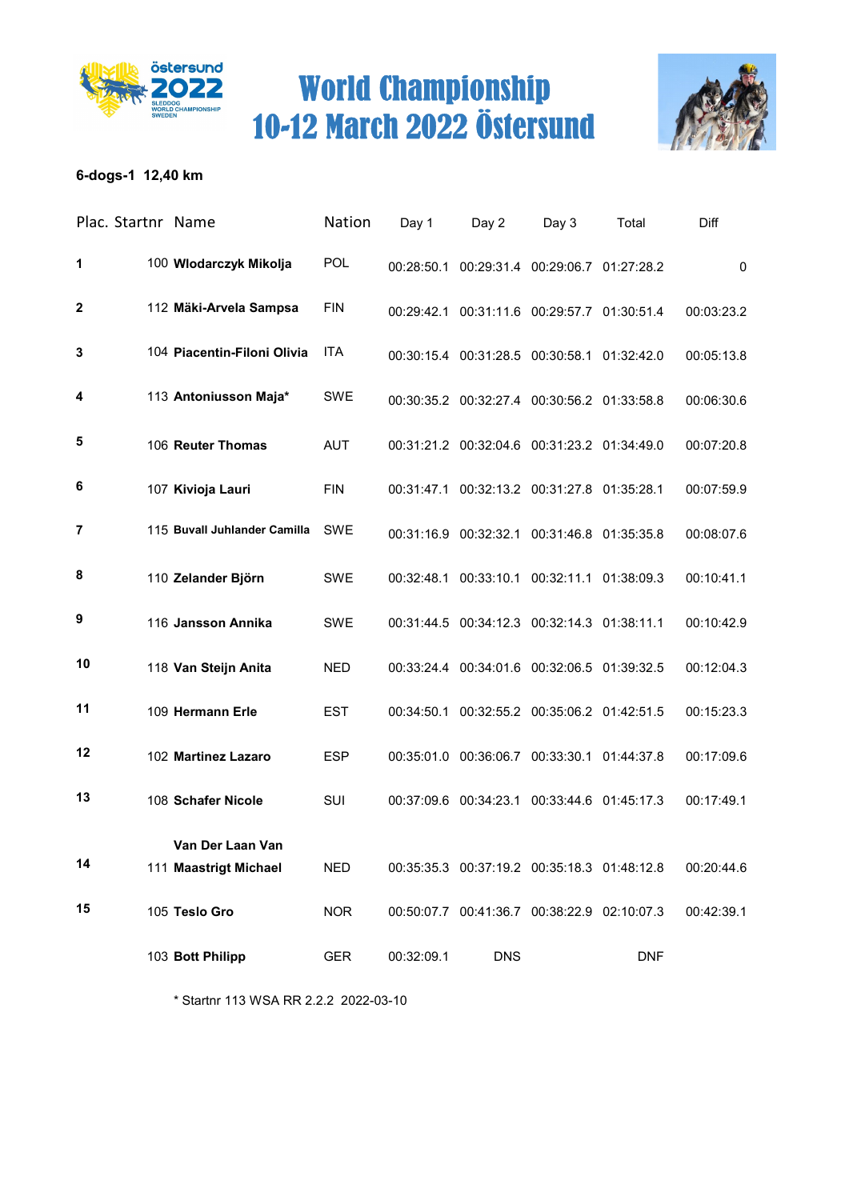



### 6-dogs-1 12,40 km

|                  | Plac. Startnr Name |                                           | Nation     | Day 1      | Day 2                                          | Day 3                            | Total      | Diff        |
|------------------|--------------------|-------------------------------------------|------------|------------|------------------------------------------------|----------------------------------|------------|-------------|
| 1                |                    | 100 Wlodarczyk Mikolja                    | <b>POL</b> |            | 00:28:50.1  00:29:31.4  00:29:06.7  01:27:28.2 |                                  |            | $\mathbf 0$ |
| $\boldsymbol{2}$ |                    | 112 Mäki-Arvela Sampsa                    | <b>FIN</b> |            | 00:29:42.1 00:31:11.6 00:29:57.7 01:30:51.4    |                                  |            | 00:03:23.2  |
| 3                |                    | 104 Piacentin-Filoni Olivia               | <b>ITA</b> |            | 00:30:15.4 00:31:28.5 00:30:58.1 01:32:42.0    |                                  |            | 00:05:13.8  |
| 4                |                    | 113 Antoniusson Maja*                     | SWE        |            | 00:30:35.2 00:32:27.4 00:30:56.2 01:33:58.8    |                                  |            | 00:06:30.6  |
| 5                |                    | 106 Reuter Thomas                         | <b>AUT</b> |            | 00:31:21.2 00:32:04.6 00:31:23.2 01:34:49.0    |                                  |            | 00:07:20.8  |
| 6                |                    | 107 Kivioja Lauri                         | <b>FIN</b> |            | 00:31:47.1 00:32:13.2 00:31:27.8 01:35:28.1    |                                  |            | 00:07:59.9  |
| 7                |                    | 115 Buvall Juhlander Camilla SWE          |            |            | 00:31:16.9 00:32:32.1 00:31:46.8 01:35:35.8    |                                  |            | 00:08:07.6  |
| 8                |                    | 110 Zelander Björn                        | <b>SWE</b> | 00:32:48.1 | 00:33:10.1 00:32:11.1 01:38:09.3               |                                  |            | 00:10:41.1  |
| 9                |                    | 116 Jansson Annika                        | <b>SWE</b> |            | 00:31:44.5 00:34:12.3 00:32:14.3 01:38:11.1    |                                  |            | 00:10:42.9  |
| 10               |                    | 118 Van Steijn Anita                      | <b>NED</b> |            | 00:33:24.4 00:34:01.6 00:32:06.5 01:39:32.5    |                                  |            | 00:12:04.3  |
| 11               |                    | 109 Hermann Erle                          | <b>EST</b> | 00:34:50.1 |                                                | 00:32:55.2 00:35:06.2 01:42:51.5 |            | 00:15:23.3  |
| 12               |                    | 102 Martinez Lazaro                       | <b>ESP</b> |            | 00:35:01.0 00:36:06.7 00:33:30.1 01:44:37.8    |                                  |            | 00:17:09.6  |
| 13               |                    | 108 Schafer Nicole                        | SUI        |            | 00:37:09.6 00:34:23.1 00:33:44.6 01:45:17.3    |                                  |            | 00:17:49.1  |
| 14               |                    | Van Der Laan Van<br>111 Maastrigt Michael | <b>NED</b> |            | 00:35:35.3  00:37:19.2  00:35:18.3  01:48:12.8 |                                  |            | 00:20:44.6  |
| 15               |                    | 105 Teslo Gro                             | <b>NOR</b> |            | 00:50:07.7 00:41:36.7 00:38:22.9 02:10:07.3    |                                  |            | 00:42:39.1  |
|                  |                    | 103 Bott Philipp                          | <b>GER</b> | 00:32:09.1 | <b>DNS</b>                                     |                                  | <b>DNF</b> |             |

\* Startnr 113 WSA RR 2.2.2 2022-03-10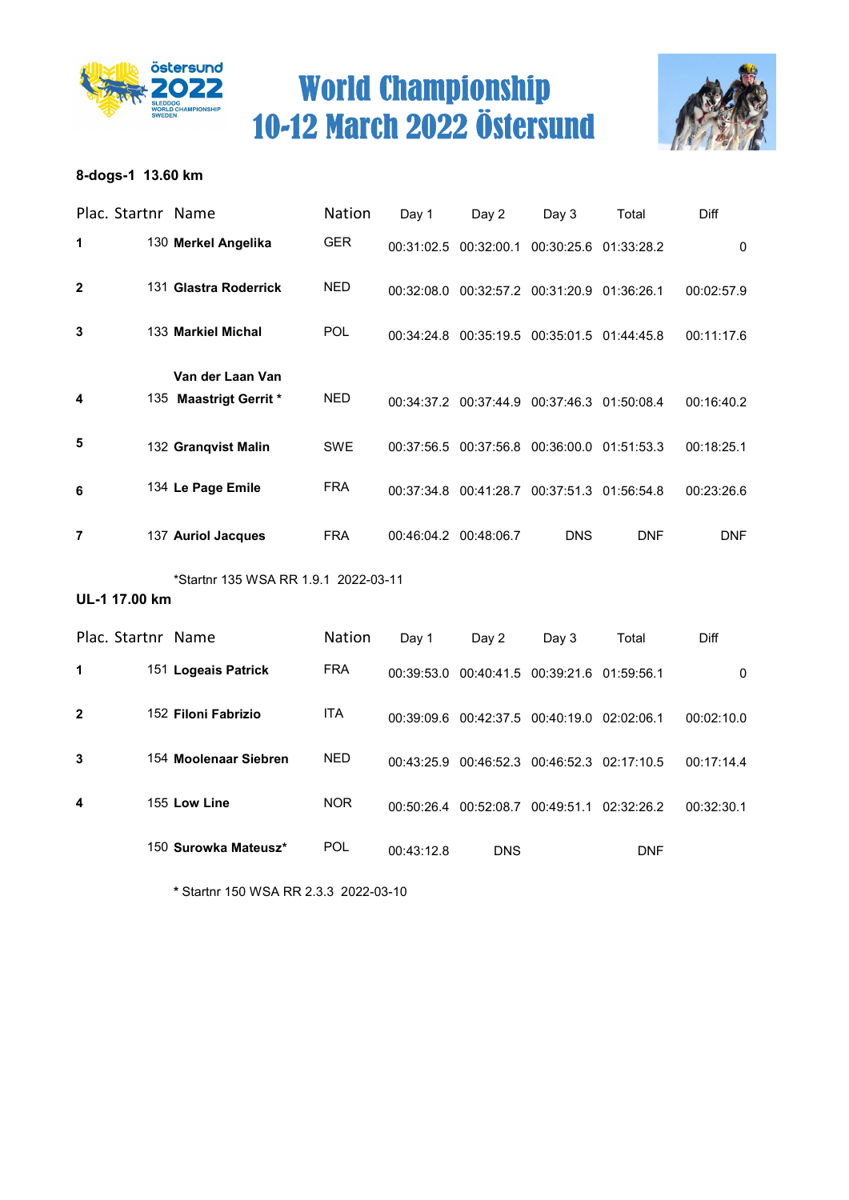



### 8-dogs-1 13.60 km

| Plac. Startnr Name |                                      | Nation        | Day 1                 | Day 2                                       | Day 3                            | Total      | Diff         |
|--------------------|--------------------------------------|---------------|-----------------------|---------------------------------------------|----------------------------------|------------|--------------|
| 1                  | 130 Merkel Angelika                  | <b>GER</b>    |                       | 00:31:02.5 00:32:00.1                       | 00:30:25.6 01:33:28.2            |            | $\mathbf{0}$ |
| $\mathbf{2}$       | 131 Glastra Roderrick                | <b>NED</b>    |                       | 00:32:08.0 00:32:57.2 00:31:20.9 01:36:26.1 |                                  |            | 00:02:57.9   |
| 3                  | 133 Markiel Michal                   | POL           |                       | 00:34:24.8 00:35:19.5 00:35:01.5 01:44:45.8 |                                  |            | 00:11:17.6   |
|                    | Van der Laan Van                     |               |                       |                                             |                                  |            |              |
| 4                  | 135 Maastrigt Gerrit *               | <b>NED</b>    |                       | 00:34:37.2 00:37:44.9 00:37:46.3 01:50:08.4 |                                  |            | 00:16:40.2   |
| 5                  | 132 Granqvist Malin                  | <b>SWE</b>    |                       | 00:37:56.5 00:37:56.8 00:36:00.0 01:51:53.3 |                                  |            | 00:18:25.1   |
| 6                  | 134 Le Page Emile                    | <b>FRA</b>    |                       | 00:37:34.8 00:41:28.7 00:37:51.3 01:56:54.8 |                                  |            | 00:23:26.6   |
| 7                  | 137 Auriol Jacques                   | <b>FRA</b>    | 00:46:04.2 00:48:06.7 |                                             | <b>DNS</b>                       | <b>DNF</b> | <b>DNF</b>   |
|                    | *Startnr 135 WSA RR 1.9.1 2022-03-11 |               |                       |                                             |                                  |            |              |
| UL-1 17.00 km      |                                      |               |                       |                                             |                                  |            |              |
| Plac. Startnr Name |                                      | <b>Nation</b> | Day 1                 | Day 2                                       | Day 3                            | Total      | Diff         |
| 1                  | 151 Logeais Patrick                  | <b>FRA</b>    | 00:39:53.0            |                                             | 00:40:41.5 00:39:21.6 01:59:56.1 |            | $\mathbf 0$  |

| $\mathbf{2}$ | 152 Filoni Fabrizio   | <b>ITA</b> |            | 00:39:09.6 00:42:37.5 00:40:19.0 02:02:06.1 |                                  |     | 00:02:10.0 |
|--------------|-----------------------|------------|------------|---------------------------------------------|----------------------------------|-----|------------|
| 3            | 154 Moolenaar Siebren | NED.       |            | 00:43:25.9 00:46:52.3 00:46:52.3 02:17:10.5 |                                  |     | 00:17:14.4 |
| 4            | 155 Low Line          | <b>NOR</b> | 00:50:26.4 |                                             | 00:52:08.7 00:49:51.1 02:32:26.2 |     | 00:32:30.1 |
|              | 150 Surowka Mateusz*  | POL        | 00:43:12.8 | <b>DNS</b>                                  |                                  | DNF |            |

\* Startnr 150 WSA RR 2.3.3 2022-03-10